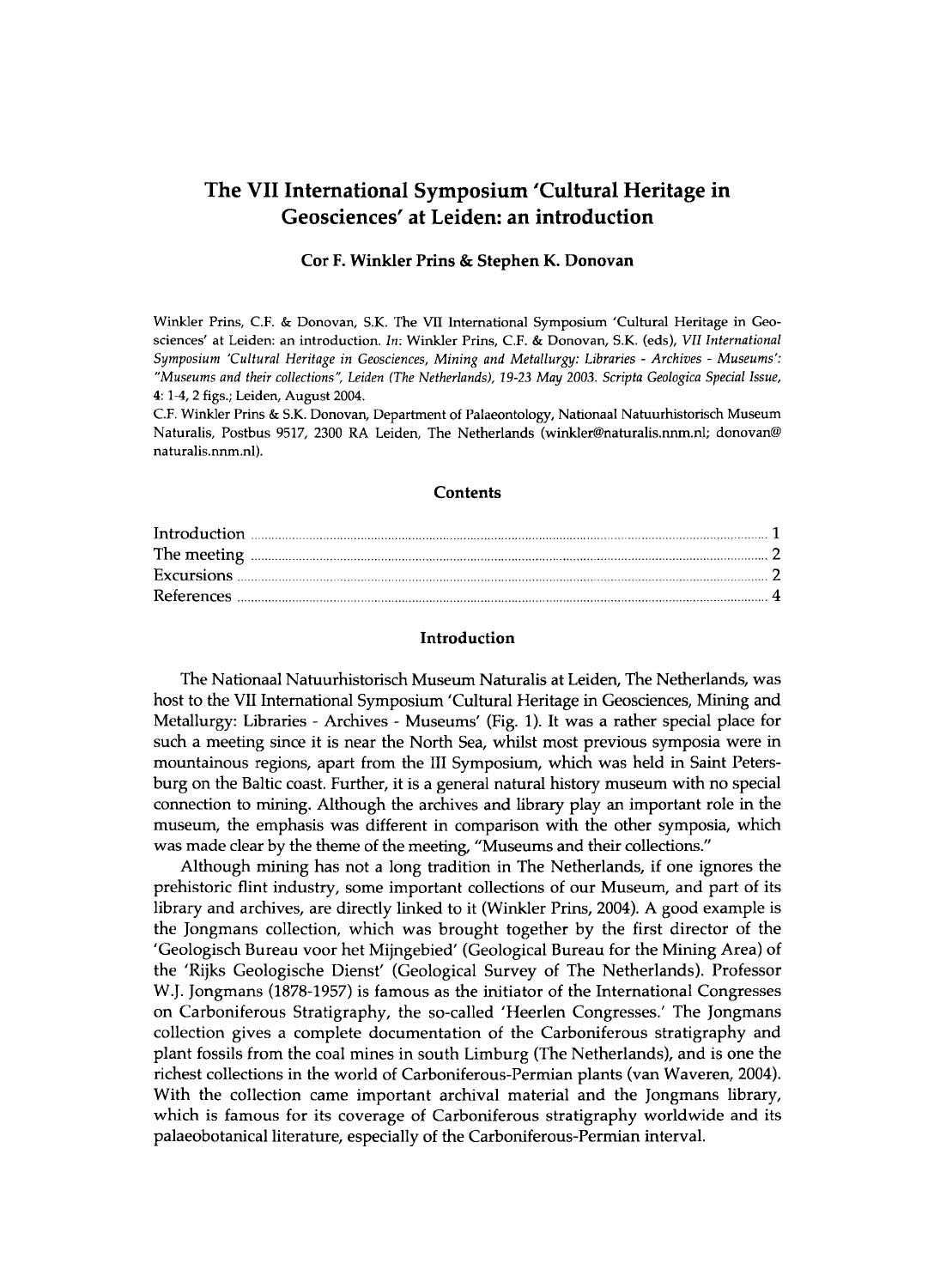# **The VII International Symposium 'Cultural Heritage in Geosciences' at Leiden: an introduction**

### **Cor F. Winkler Prins & Stephen K. Donovan**

**Winkler Prins, CF . & Donovan, S.K. The VII International Symposium 'Cultural Heritage in Geosciences' at Leiden: an introduction.** *In:* **Winkler Prins, CF . & Donovan, S.K. (eds),** *VII International Symposium 'Cultural Heritage in Geosciences, Mining and Metallurgy: Libraries - Archives - Museums': "Museums and their collections", Leiden (The Netherlands), 19-23 May 2003. Scripta Geológica Special Issue,*  **4:1-4, 2 figs.; Leiden, August 2004.** 

**C F . Winkler Prins & S.K. Donovan, Department of Palaeontology, Nationaal Natuurhistorisch Museum Naturalis, Postbus 9517, 2300 RA Leiden, The Netherlands ([winkler@naturalis.nnm.nl;](mailto:winkler@naturalis.nnm.nl) donovan® [naturalis.nnm.nl\).](http://naturalis.nnm.nl)** 

### **Contents**

| $\label{eq:introduction} \begin{minipage}[t]{0.9\linewidth} \begin{minipage}[t]{0.9\linewidth} \begin{minipage}[t]{0.9\linewidth} \begin{minipage}[t]{0.9\linewidth} \end{minipage}[t]{0.9\linewidth} \begin{minipage}[t]{0.9\linewidth} \begin{minipage}[t]{0.9\linewidth} \end{minipage}[t]{0.9\linewidth} \end{minipage}[t]{0.9\linewidth} \begin{minipage}[t]{0.9\linewidth} \begin{minipage}[t]{0.9\linewidth} \end{minipage}[t]{0.9\linewidth} \end{minipage}[t]{0.9\linewidth} \begin{minipage}[t]{0.9\linewidth} \begin$ |  |
|----------------------------------------------------------------------------------------------------------------------------------------------------------------------------------------------------------------------------------------------------------------------------------------------------------------------------------------------------------------------------------------------------------------------------------------------------------------------------------------------------------------------------------|--|
| The meeting <b>continuum continuum continuum continuum continuum continuum continuum continuum continuum continuum continuum continuum continuum continuum continuum continuum continuum continuum continuum continuum continuum</b>                                                                                                                                                                                                                                                                                             |  |
|                                                                                                                                                                                                                                                                                                                                                                                                                                                                                                                                  |  |
|                                                                                                                                                                                                                                                                                                                                                                                                                                                                                                                                  |  |

# **Introduction**

The Nationaal Natuurhistorisch Museum Naturalis at Leiden, The Netherlands, was host to the VII International Symposium 'Cultural Heritage in Geosciences, Mining and Metallurgy: Libraries - Archives - Museums' (Fig. 1). It was a rather special place for such a meeting since it is near the North Sea, whilst most previous symposia were in mountainous regions, apart from the III Symposium, which was held in Saint Petersburg on the Baltic coast. Further, it is a general natural history museum with no special connection to mining. Although the archives and library play an important role in the museum, the emphasis was different in comparison with the other symposia, which was made clear by the theme of the meeting, "Museums and their collections."

Although mining has not a long tradition in The Netherlands, if one ignores the prehistoric flint industry, some important collections of our Museum , and part of its library and archives, are directly linked to it (Winkler Prins, 2004). A good example is the Jongmans collection, which was brought together by the first director of the 'Geologisch Bureau voor het Mijngebied' (Geological Bureau for the Mining Area) of the 'Rijks Geologische Dienst' (Geological Survey of The Netherlands). Professor W.J. Jongmans (1878-1957) is famous as the initiator of the International Congresses on Carboniferous Stratigraphy, the so-called 'Heerlen Congresses.' The Jongmans collection gives a complete documentation of the Carboniferous stratigraphy and plant fossils from the coal mines in south Limburg (The Netherlands), and is one the richest collections in the world of Carboniferous-Permian plants (van Waveren, 2004). With the collection came important archival material and the Jongmans library, which is famous for its coverage of Carboniferous stratigraphy worldwide and its palaeobotanical literature, especially of the Carboniferous-Permian interval.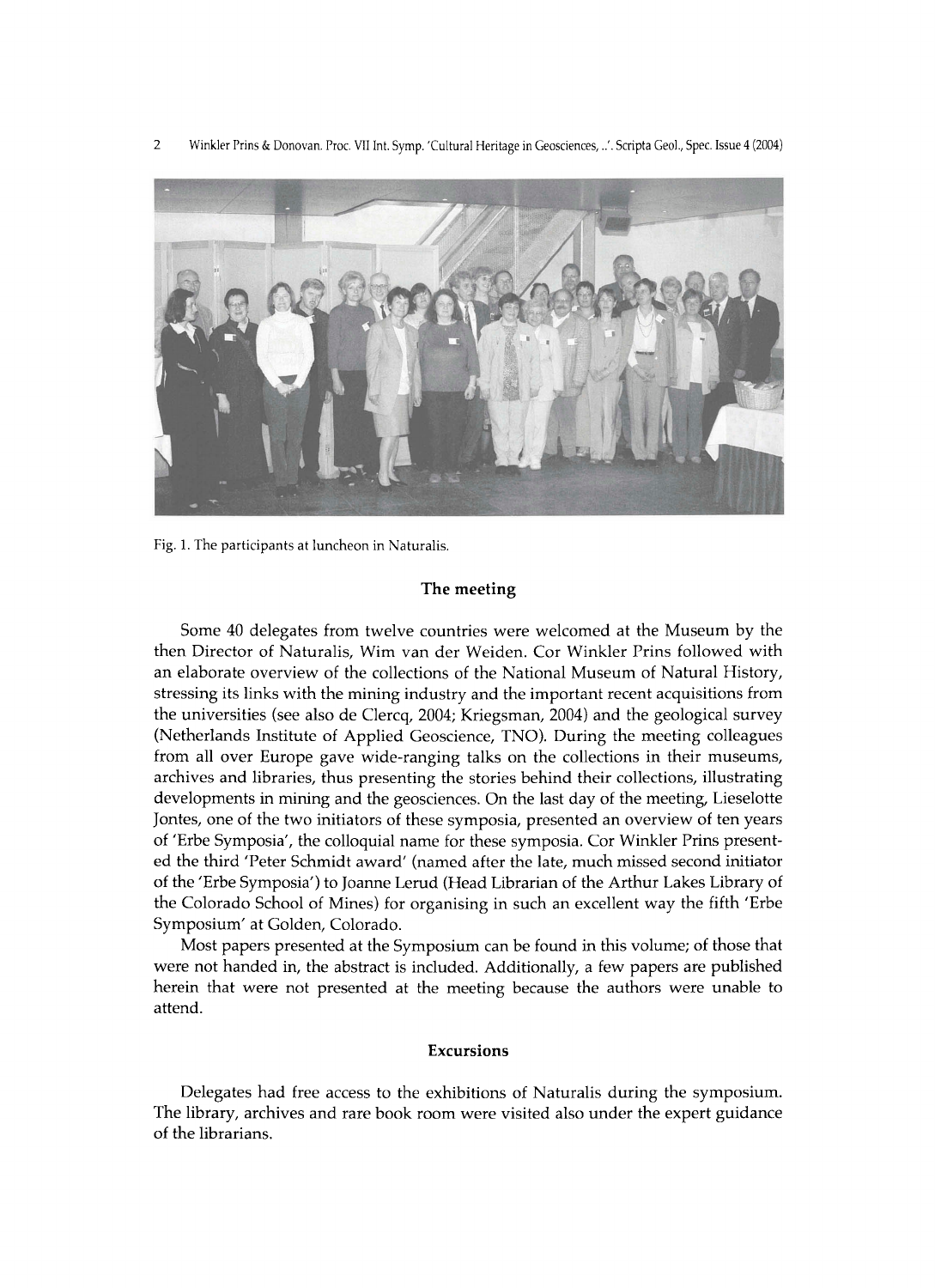2 Winkler Prins & Donovan. Proc. VII Int. Symp. 'Cultural Heritage in Geosciences, ..'. Scripta Geol., Spec. Issue 4 (2004)



**Fig. 1. The participants at luncheon in Naturalis.** 

# **The meeting**

Some 40 delegates from twelve countries were welcomed at the Museum by the then Director of Naturalis, Wim van der Weiden. Cor Winkler Prins followed with an elaborate overview of the collections of the National Museum of Natural History, stressing its links with the mining industry and the important recent acquisitions from the universities (see also de Clercq, 2004; Kriegsman, 2004) and the geological survey (Netherlands Institute of Applied Geoscience, TNO). During the meeting colleagues from all over Europe gave wide-ranging talks on the collections in their museums, archives and libraries, thus presenting the stories behind their collections, illustrating developments in mining and the geosciences. On the last day of the meeting, Lieselotte Jontes, one of the two initiators of these symposia, presented an overview of ten years of 'Erbe Symposia', the colloquial name for these symposia. Cor Winkler Prins presented the third 'Peter Schmidt award' (named after the late, much missed second initiator of the 'Erbe Symposia') to Joanne Lerud (Head Librarian of the Arthur Lakes Library of the Colorado School of Mines) for organising in such an excellent way the fifth 'Erbe Symposium' at Golden, Colorado.

Most papers presented at the Symposium can be found in this volume; of those that were not handed in, the abstract is included. Additionally, a few papers are published herein that were not presented at the meeting because the authors were unable to attend.

# Excursions

Delegates had free access to the exhibitions of Naturalis during the symposium. The library, archives and rare book room were visited also under the expert guidance of the librarians.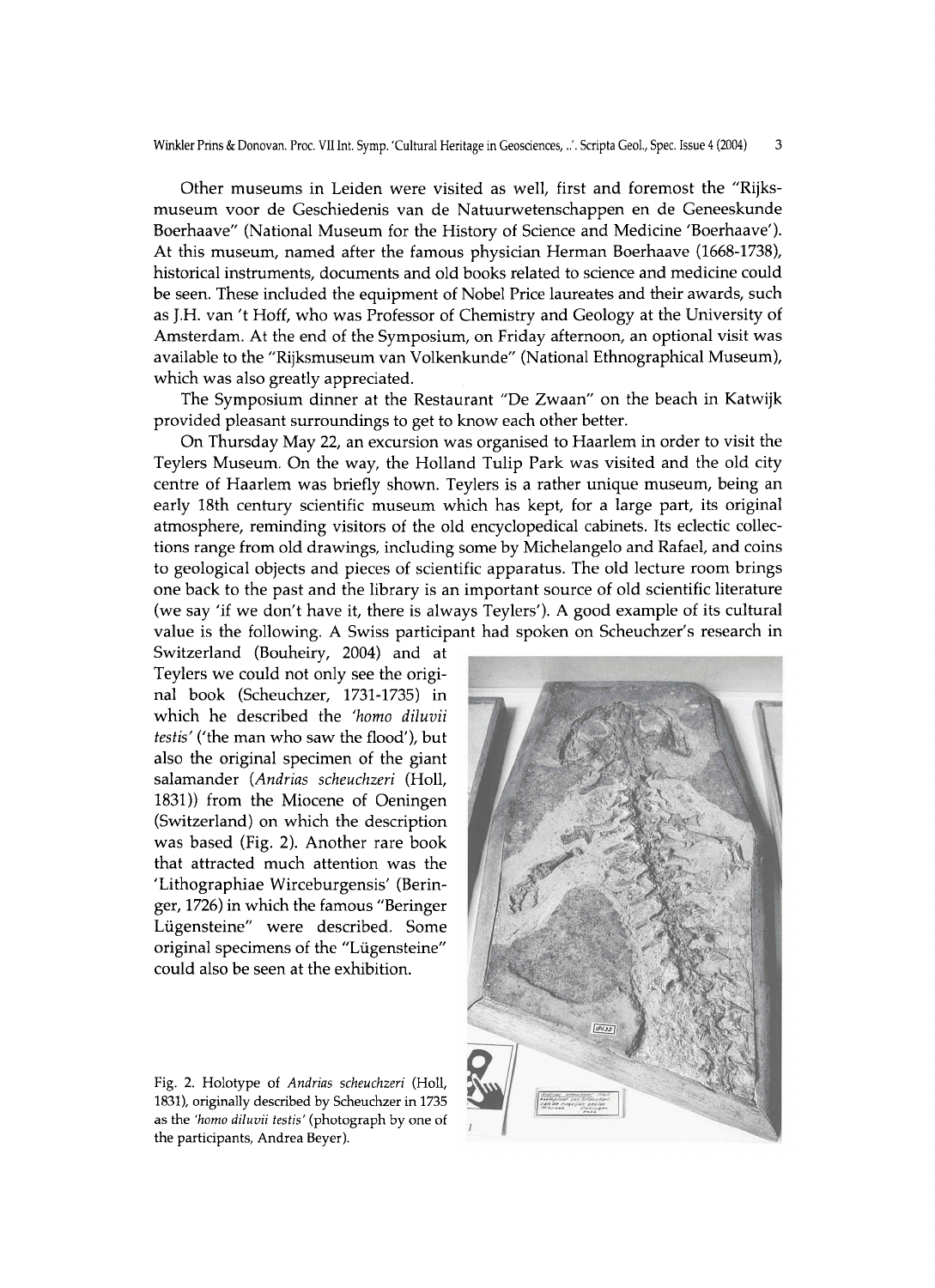Other museums in Leiden were visited as well, first and foremost the "Rijksmuseum voor de Geschiedenis van de Natuurwetenschappen en de Geneeskunde Boerhaave" (National Museum for the History of Science and Medicine 'Boerhaave'). At this museum, named after the famous physician Herman Boerhaave (1668-1738), historical instruments, documents and old books related to science and medicine could be seen. These included the equipment of Nobel Price laureates and their awards, such as J.H. van 't Hoff, who was Professor of Chemistry and Geology at the University of Amsterdam. At the end of the Symposium, on Friday afternoon, an optional visit was available to the "Rijksmuseum van Volkenkunde" (National Ethnographical Museum), which was also greatly appreciated.

The Symposium dinner at the Restaurant "De Zwaan" on the beach in Katwijk provided pleasant surroundings to get to know each other better.

On Thursday May 22, an excursion was organised to Haarlem in order to visit the Teylers Museum. On the way, the Holland Tulip Park was visited and the old city centre of Haarlem was briefly shown. Teylers is a rather unique museum, being an early 18th century scientific museum which has kept, for a large part, its original atmosphere, reminding visitors of the old encyclopedical cabinets. Its eclectic collections range from old drawings, including some by Michelangelo and Rafael, and coins to geological objects and pieces of scientific apparatus. The old lecture room brings one back to the past and the library is an important source of old scientific literature (we say 'if we don't have it, there is always Teylers'). A good example of its cultural value is the following. A Swiss participant had spoken on Scheuchzer's research in

Switzerland (Bouheiry, 2004) and at Teylers we could not only see the original book (Scheuchzer, 1731-1735) in which he described the 'homo diluvii testis' ('the man who saw the flood'), but also the original specimen of the giant salamander *(Andrias scheuchzeri* (Holl, 1831)) from the Miocene of Oeningen (Switzerland) on which the description was based (Fig. 2). Another rare book that attracted much attention was the 'Lithographiae Wirceburgensis' (Beringer, 1726) in which the famous "Beringer Lügensteine" were described. Some original specimens of the "Lügensteine" could also be seen at the exhibition.

**Fig. 2. Holotype of** *Andrias scheuchzeri* **(Holl, 1831), originally described by Scheuchzer in 1735 as the** *'homo diluvii testis'* **(photograph by one of the participants, Andrea Beyer).**